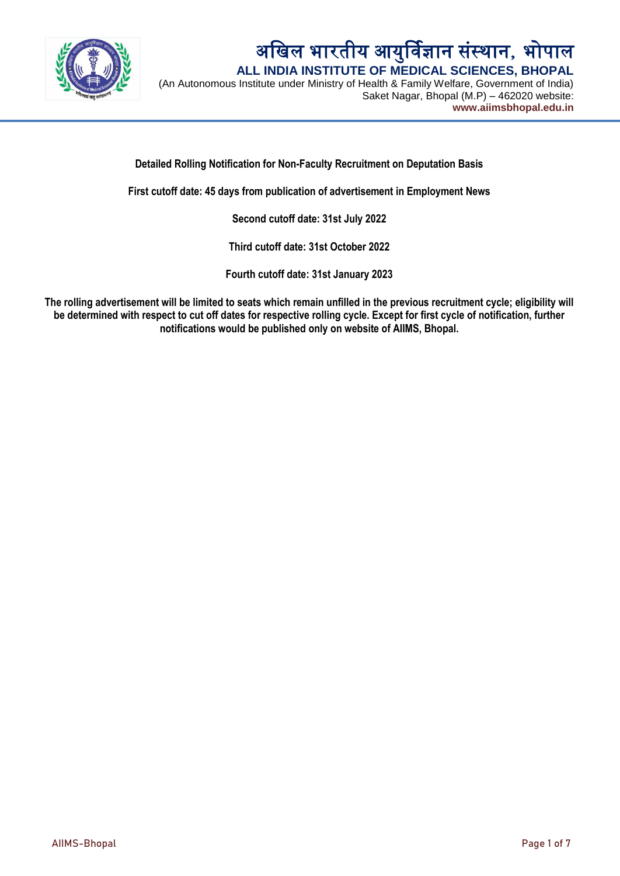

# अखिल भारतीय आयुर्विज्ञान संस्थान, भोपाल  **ALL INDIA INSTITUTE OF MEDICAL SCIENCES, BHOPAL**

(An Autonomous Institute under Ministry of Health & Family Welfare, Government of India) Saket Nagar, Bhopal (M.P) – 462020 website: **www.aiimsbhopal.edu.in**

**Detailed Rolling Notification for Non-Faculty Recruitment on Deputation Basis**

**First cutoff date: 45 days from publication of advertisement in Employment News**

**Second cutoff date: 31st July 2022**

**Third cutoff date: 31st October 2022**

**Fourth cutoff date: 31st January 2023**

**The rolling advertisement will be limited to seats which remain unfilled in the previous recruitment cycle; eligibility will be determined with respect to cut off dates for respective rolling cycle. Except for first cycle of notification, further notifications would be published only on website of AIIMS, Bhopal.**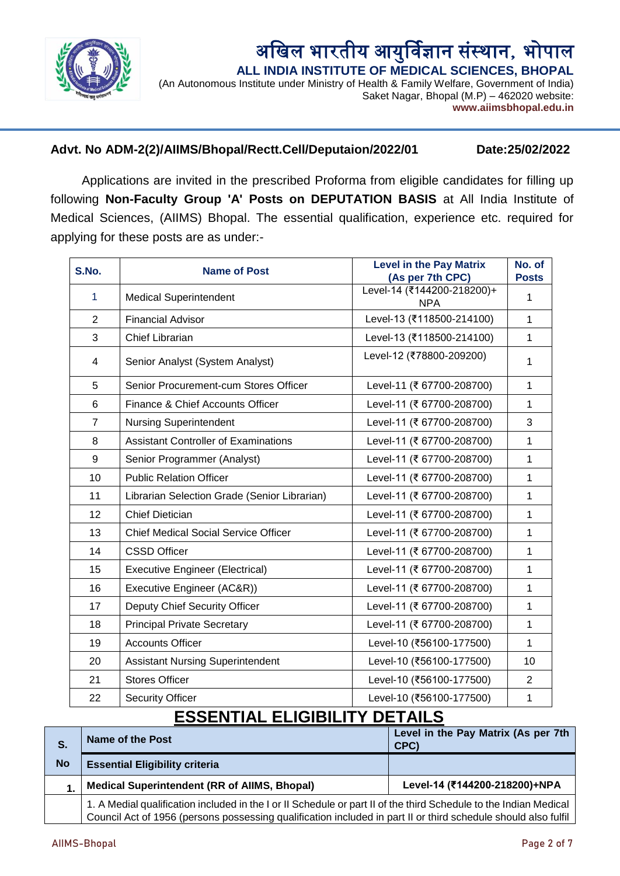

### अखिल भारतीय आयुर्विज्ञान संस्थान, भोपाल  **ALL INDIA INSTITUTE OF MEDICAL SCIENCES, BHOPAL**

(An Autonomous Institute under Ministry of Health & Family Welfare, Government of India) Saket Nagar, Bhopal (M.P) – 462020 website: **www.aiimsbhopal.edu.in**

### **Advt. No ADM-2(2)/AIIMS/Bhopal/Rectt.Cell/Deputaion/2022/01 Date:25/02/2022**

Applications are invited in the prescribed Proforma from eligible candidates for filling up following **Non-Faculty Group 'A' Posts on DEPUTATION BASIS** at All India Institute of Medical Sciences, (AIIMS) Bhopal. The essential qualification, experience etc. required for applying for these posts are as under:-

| S.No.          | <b>Name of Post</b>                          | <b>Level in the Pay Matrix</b><br>(As per 7th CPC) | No. of<br><b>Posts</b> |
|----------------|----------------------------------------------|----------------------------------------------------|------------------------|
| $\mathbf{1}$   | <b>Medical Superintendent</b>                | Level-14 (₹144200-218200)+<br><b>NPA</b>           | $\mathbf{1}$           |
| $\overline{2}$ | <b>Financial Advisor</b>                     | Level-13 (₹118500-214100)                          | $\mathbf{1}$           |
| 3              | <b>Chief Librarian</b>                       | Level-13 (₹118500-214100)                          | 1                      |
| 4              | Senior Analyst (System Analyst)              | Level-12 (₹78800-209200)                           | $\mathbf{1}$           |
| 5              | Senior Procurement-cum Stores Officer        | Level-11 (₹ 67700-208700)                          | 1                      |
| 6              | Finance & Chief Accounts Officer             | Level-11 (₹ 67700-208700)                          | $\mathbf{1}$           |
| $\overline{7}$ | <b>Nursing Superintendent</b>                | Level-11 (₹ 67700-208700)                          | 3                      |
| 8              | <b>Assistant Controller of Examinations</b>  | Level-11 (₹ 67700-208700)                          | $\mathbf{1}$           |
| 9              | Senior Programmer (Analyst)                  | Level-11 (₹ 67700-208700)                          | $\mathbf{1}$           |
| 10             | <b>Public Relation Officer</b>               | Level-11 (₹ 67700-208700)                          | $\mathbf{1}$           |
| 11             | Librarian Selection Grade (Senior Librarian) | Level-11 (₹ 67700-208700)                          | $\mathbf{1}$           |
| 12             | <b>Chief Dietician</b>                       | Level-11 (₹ 67700-208700)                          | $\mathbf{1}$           |
| 13             | <b>Chief Medical Social Service Officer</b>  | Level-11 (₹ 67700-208700)                          | 1                      |
| 14             | <b>CSSD Officer</b>                          | Level-11 (₹ 67700-208700)                          | 1                      |
| 15             | <b>Executive Engineer (Electrical)</b>       | Level-11 (₹ 67700-208700)                          | $\mathbf{1}$           |
| 16             | Executive Engineer (AC&R))                   | Level-11 (₹ 67700-208700)                          | $\mathbf{1}$           |
| 17             | Deputy Chief Security Officer                | Level-11 (₹ 67700-208700)                          | $\mathbf{1}$           |
| 18             | <b>Principal Private Secretary</b>           | Level-11 (₹ 67700-208700)                          | $\mathbf{1}$           |
| 19             | <b>Accounts Officer</b>                      | Level-10 (₹56100-177500)                           | $\mathbf{1}$           |
| 20             | <b>Assistant Nursing Superintendent</b>      | Level-10 (₹56100-177500)                           | 10                     |
| 21             | <b>Stores Officer</b>                        | Level-10 (₹56100-177500)                           | $\overline{2}$         |
| 22             | <b>Security Officer</b>                      | Level-10 (₹56100-177500)                           | 1                      |

# **ESSENTIAL ELIGIBILITY DETAILS**

| S.        | Name of the Post                                                                                                  | Level in the Pay Matrix (As per 7th<br>CPC) |
|-----------|-------------------------------------------------------------------------------------------------------------------|---------------------------------------------|
| <b>No</b> | <b>Essential Eligibility criteria</b>                                                                             |                                             |
|           | <b>Medical Superintendent (RR of AIIMS, Bhopal)</b>                                                               | Level-14 (₹144200-218200)+NPA               |
|           | 1. A Medial qualification included in the I or II Schedule or part II of the third Schedule to the Indian Medical |                                             |

Council Act of 1956 (persons possessing qualification included in part II or third schedule should also fulfil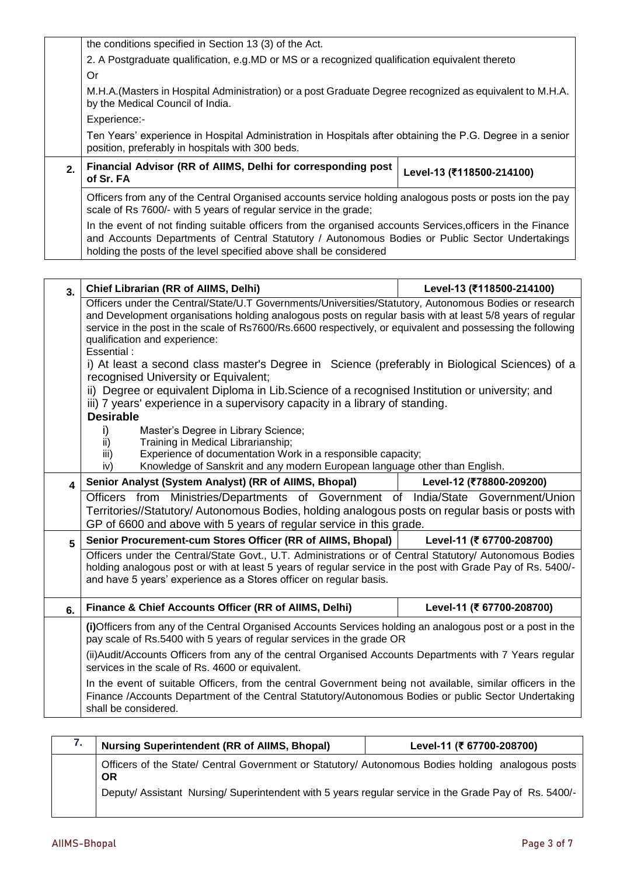|    | the conditions specified in Section 13 (3) of the Act.                                                                                                                                                                                                                               |                           |  |
|----|--------------------------------------------------------------------------------------------------------------------------------------------------------------------------------------------------------------------------------------------------------------------------------------|---------------------------|--|
|    | 2. A Postgraduate qualification, e.g. MD or MS or a recognized qualification equivalent thereto                                                                                                                                                                                      |                           |  |
|    | Or                                                                                                                                                                                                                                                                                   |                           |  |
|    | M.H.A. (Masters in Hospital Administration) or a post Graduate Degree recognized as equivalent to M.H.A.<br>by the Medical Council of India.                                                                                                                                         |                           |  |
|    | Experience:-                                                                                                                                                                                                                                                                         |                           |  |
|    | Ten Years' experience in Hospital Administration in Hospitals after obtaining the P.G. Degree in a senior<br>position, preferably in hospitals with 300 beds.                                                                                                                        |                           |  |
| 2. | Financial Advisor (RR of AllMS, Delhi for corresponding post<br>of Sr. FA                                                                                                                                                                                                            | Level-13 (₹118500-214100) |  |
|    | Officers from any of the Central Organised accounts service holding analogous posts or posts ion the pay<br>scale of Rs 7600/- with 5 years of regular service in the grade;                                                                                                         |                           |  |
|    | In the event of not finding suitable officers from the organised accounts Services, officers in the Finance<br>and Accounts Departments of Central Statutory / Autonomous Bodies or Public Sector Undertakings<br>holding the posts of the level specified above shall be considered |                           |  |

| 3. | Chief Librarian (RR of AllMS, Delhi)                                                                                                                                                                                                                                                                                                                                                                                                                                                                                                                                                                                                                                                                                               | Level-13 (₹118500-214100) |
|----|------------------------------------------------------------------------------------------------------------------------------------------------------------------------------------------------------------------------------------------------------------------------------------------------------------------------------------------------------------------------------------------------------------------------------------------------------------------------------------------------------------------------------------------------------------------------------------------------------------------------------------------------------------------------------------------------------------------------------------|---------------------------|
|    | Officers under the Central/State/U.T Governments/Universities/Statutory, Autonomous Bodies or research<br>and Development organisations holding analogous posts on regular basis with at least 5/8 years of regular<br>service in the post in the scale of Rs7600/Rs.6600 respectively, or equivalent and possessing the following<br>qualification and experience:<br>Essential:<br>i) At least a second class master's Degree in Science (preferably in Biological Sciences) of a<br>recognised University or Equivalent;<br>ii) Degree or equivalent Diploma in Lib. Science of a recognised Institution or university; and<br>iii) 7 years' experience in a supervisory capacity in a library of standing.<br><b>Desirable</b> |                           |
|    | i)<br>Master's Degree in Library Science;<br>Training in Medical Librarianship;<br>ii)<br>Experience of documentation Work in a responsible capacity;<br>iii)<br>Knowledge of Sanskrit and any modern European language other than English.<br>iv)                                                                                                                                                                                                                                                                                                                                                                                                                                                                                 |                           |
| 4  | Senior Analyst (System Analyst) (RR of AllMS, Bhopal)                                                                                                                                                                                                                                                                                                                                                                                                                                                                                                                                                                                                                                                                              | Level-12 (₹78800-209200)  |
|    | Officers from Ministries/Departments of Government of India/State Government/Union<br>Territories//Statutory/ Autonomous Bodies, holding analogous posts on regular basis or posts with<br>GP of 6600 and above with 5 years of regular service in this grade.                                                                                                                                                                                                                                                                                                                                                                                                                                                                     |                           |
| 5  | Senior Procurement-cum Stores Officer (RR of AllMS, Bhopal)                                                                                                                                                                                                                                                                                                                                                                                                                                                                                                                                                                                                                                                                        | Level-11 (₹ 67700-208700) |
|    | Officers under the Central/State Govt., U.T. Administrations or of Central Statutory/ Autonomous Bodies<br>holding analogous post or with at least 5 years of regular service in the post with Grade Pay of Rs. 5400/-<br>and have 5 years' experience as a Stores officer on regular basis.                                                                                                                                                                                                                                                                                                                                                                                                                                       |                           |
| 6. | Finance & Chief Accounts Officer (RR of AllMS, Delhi)                                                                                                                                                                                                                                                                                                                                                                                                                                                                                                                                                                                                                                                                              | Level-11 (₹ 67700-208700) |
|    | (i) Officers from any of the Central Organised Accounts Services holding an analogous post or a post in the<br>pay scale of Rs.5400 with 5 years of regular services in the grade OR                                                                                                                                                                                                                                                                                                                                                                                                                                                                                                                                               |                           |
|    | (ii) Audit/Accounts Officers from any of the central Organised Accounts Departments with 7 Years regular<br>services in the scale of Rs. 4600 or equivalent.                                                                                                                                                                                                                                                                                                                                                                                                                                                                                                                                                                       |                           |
|    | In the event of suitable Officers, from the central Government being not available, similar officers in the<br>Finance /Accounts Department of the Central Statutory/Autonomous Bodies or public Sector Undertaking<br>shall be considered.                                                                                                                                                                                                                                                                                                                                                                                                                                                                                        |                           |

| <b>Nursing Superintendent (RR of AllMS, Bhopal)</b>                                                            | Level-11 (₹ 67700-208700) |
|----------------------------------------------------------------------------------------------------------------|---------------------------|
| Officers of the State/ Central Government or Statutory/ Autonomous Bodies holding analogous posts<br><b>OR</b> |                           |
| Deputy/ Assistant Nursing/Superintendent with 5 years regular service in the Grade Pay of Rs. 5400/-           |                           |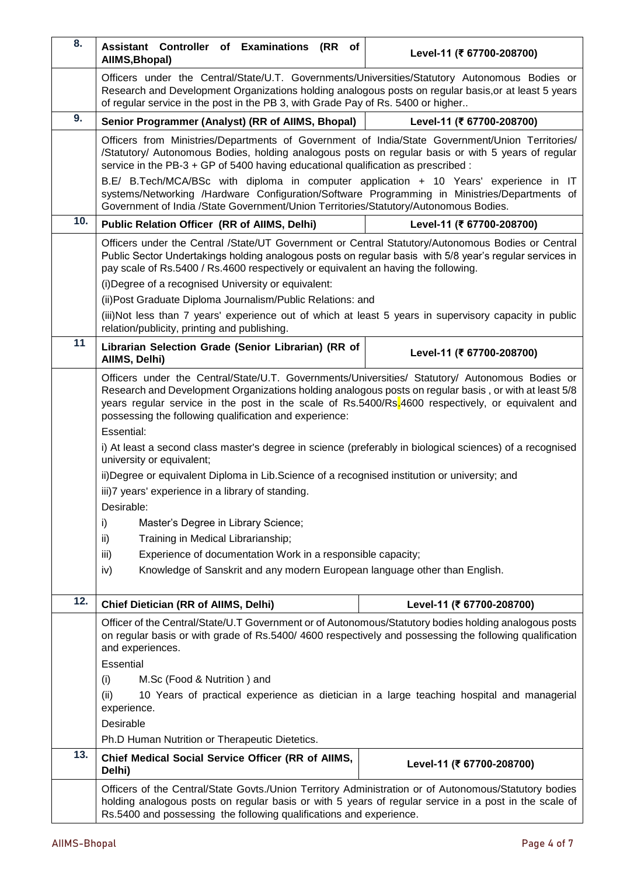| 8.  | Assistant Controller of Examinations (RR of<br>AllMS, Bhopal)                                                                                                                                                                                                                                                                                                                                                                                                                                                                                                                                                                                                                                                                                                                                                                                                                                                                                             | Level-11 (₹ 67700-208700) |
|-----|-----------------------------------------------------------------------------------------------------------------------------------------------------------------------------------------------------------------------------------------------------------------------------------------------------------------------------------------------------------------------------------------------------------------------------------------------------------------------------------------------------------------------------------------------------------------------------------------------------------------------------------------------------------------------------------------------------------------------------------------------------------------------------------------------------------------------------------------------------------------------------------------------------------------------------------------------------------|---------------------------|
|     | Officers under the Central/State/U.T. Governments/Universities/Statutory Autonomous Bodies or<br>Research and Development Organizations holding analogous posts on regular basis, or at least 5 years<br>of regular service in the post in the PB 3, with Grade Pay of Rs. 5400 or higher                                                                                                                                                                                                                                                                                                                                                                                                                                                                                                                                                                                                                                                                 |                           |
| 9.  | Senior Programmer (Analyst) (RR of AllMS, Bhopal)                                                                                                                                                                                                                                                                                                                                                                                                                                                                                                                                                                                                                                                                                                                                                                                                                                                                                                         | Level-11 (₹ 67700-208700) |
|     | Officers from Ministries/Departments of Government of India/State Government/Union Territories/<br>/Statutory/ Autonomous Bodies, holding analogous posts on regular basis or with 5 years of regular<br>service in the PB-3 + GP of 5400 having educational qualification as prescribed :                                                                                                                                                                                                                                                                                                                                                                                                                                                                                                                                                                                                                                                                |                           |
|     | B.E/ B.Tech/MCA/BSc with diploma in computer application + 10 Years' experience in IT<br>systems/Networking /Hardware Configuration/Software Programming in Ministries/Departments of<br>Government of India /State Government/Union Territories/Statutory/Autonomous Bodies.                                                                                                                                                                                                                                                                                                                                                                                                                                                                                                                                                                                                                                                                             |                           |
| 10. | <b>Public Relation Officer (RR of AIIMS, Delhi)</b>                                                                                                                                                                                                                                                                                                                                                                                                                                                                                                                                                                                                                                                                                                                                                                                                                                                                                                       | Level-11 (₹ 67700-208700) |
|     | Officers under the Central /State/UT Government or Central Statutory/Autonomous Bodies or Central<br>Public Sector Undertakings holding analogous posts on regular basis with 5/8 year's regular services in<br>pay scale of Rs.5400 / Rs.4600 respectively or equivalent an having the following.<br>(i) Degree of a recognised University or equivalent:                                                                                                                                                                                                                                                                                                                                                                                                                                                                                                                                                                                                |                           |
|     | (ii) Post Graduate Diploma Journalism/Public Relations: and                                                                                                                                                                                                                                                                                                                                                                                                                                                                                                                                                                                                                                                                                                                                                                                                                                                                                               |                           |
|     | (iii)Not less than 7 years' experience out of which at least 5 years in supervisory capacity in public<br>relation/publicity, printing and publishing.                                                                                                                                                                                                                                                                                                                                                                                                                                                                                                                                                                                                                                                                                                                                                                                                    |                           |
| 11  | Librarian Selection Grade (Senior Librarian) (RR of<br>AllMS, Delhi)                                                                                                                                                                                                                                                                                                                                                                                                                                                                                                                                                                                                                                                                                                                                                                                                                                                                                      | Level-11 (₹ 67700-208700) |
|     | Officers under the Central/State/U.T. Governments/Universities/ Statutory/ Autonomous Bodies or<br>Research and Development Organizations holding analogous posts on regular basis, or with at least 5/8<br>years regular service in the post in the scale of Rs.5400/Rs.4600 respectively, or equivalent and<br>possessing the following qualification and experience:<br>Essential:<br>i) At least a second class master's degree in science (preferably in biological sciences) of a recognised<br>university or equivalent;<br>ii)Degree or equivalent Diploma in Lib.Science of a recognised institution or university; and<br>iii)7 years' experience in a library of standing.<br>Desirable:<br>i)<br>Master's Degree in Library Science;<br>Training in Medical Librarianship;<br>ii)<br>iii)<br>Experience of documentation Work in a responsible capacity;<br>Knowledge of Sanskrit and any modern European language other than English.<br>iv) |                           |
| 12. | Chief Dietician (RR of AllMS, Delhi)                                                                                                                                                                                                                                                                                                                                                                                                                                                                                                                                                                                                                                                                                                                                                                                                                                                                                                                      | Level-11 (₹ 67700-208700) |
|     | Officer of the Central/State/U.T Government or of Autonomous/Statutory bodies holding analogous posts<br>on regular basis or with grade of Rs.5400/4600 respectively and possessing the following qualification<br>and experiences.<br>Essential<br>M.Sc (Food & Nutrition) and<br>(i)<br>10 Years of practical experience as dietician in a large teaching hospital and managerial<br>(ii)<br>experience.<br>Desirable<br>Ph.D Human Nutrition or Therapeutic Dietetics.                                                                                                                                                                                                                                                                                                                                                                                                                                                                                 |                           |
| 13. | Chief Medical Social Service Officer (RR of AlIMS,<br>Delhi)                                                                                                                                                                                                                                                                                                                                                                                                                                                                                                                                                                                                                                                                                                                                                                                                                                                                                              | Level-11 (₹ 67700-208700) |
|     | Officers of the Central/State Govts./Union Territory Administration or of Autonomous/Statutory bodies<br>holding analogous posts on regular basis or with 5 years of regular service in a post in the scale of<br>Rs.5400 and possessing the following qualifications and experience.                                                                                                                                                                                                                                                                                                                                                                                                                                                                                                                                                                                                                                                                     |                           |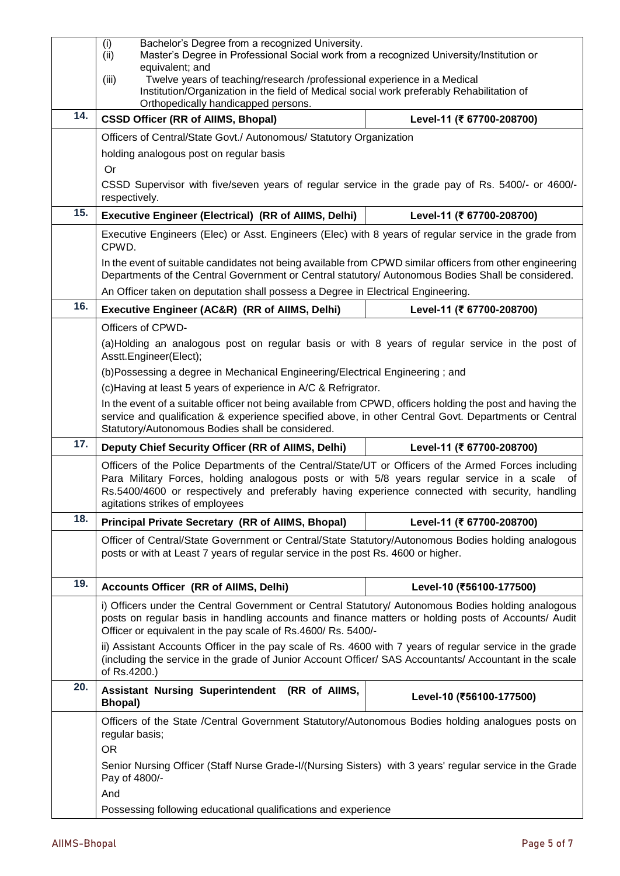|     | Bachelor's Degree from a recognized University.<br>(i)<br>Master's Degree in Professional Social work from a recognized University/Institution or<br>(ii)<br>equivalent; and<br>Twelve years of teaching/research /professional experience in a Medical<br>(iii)                                                                         |                           |
|-----|------------------------------------------------------------------------------------------------------------------------------------------------------------------------------------------------------------------------------------------------------------------------------------------------------------------------------------------|---------------------------|
|     | Institution/Organization in the field of Medical social work preferably Rehabilitation of<br>Orthopedically handicapped persons.                                                                                                                                                                                                         |                           |
| 14. | <b>CSSD Officer (RR of AllMS, Bhopal)</b>                                                                                                                                                                                                                                                                                                | Level-11 (₹ 67700-208700) |
|     | Officers of Central/State Govt./ Autonomous/ Statutory Organization                                                                                                                                                                                                                                                                      |                           |
|     | holding analogous post on regular basis<br>Or                                                                                                                                                                                                                                                                                            |                           |
|     | CSSD Supervisor with five/seven years of regular service in the grade pay of Rs. 5400/- or 4600/-<br>respectively.                                                                                                                                                                                                                       |                           |
| 15. | <b>Executive Engineer (Electrical) (RR of AllMS, Delhi)</b>                                                                                                                                                                                                                                                                              | Level-11 (₹ 67700-208700) |
|     | Executive Engineers (Elec) or Asst. Engineers (Elec) with 8 years of regular service in the grade from<br>CPWD.                                                                                                                                                                                                                          |                           |
|     | In the event of suitable candidates not being available from CPWD similar officers from other engineering<br>Departments of the Central Government or Central statutory/ Autonomous Bodies Shall be considered.                                                                                                                          |                           |
|     | An Officer taken on deputation shall possess a Degree in Electrical Engineering.                                                                                                                                                                                                                                                         |                           |
| 16. | Executive Engineer (AC&R) (RR of AllMS, Delhi)                                                                                                                                                                                                                                                                                           | Level-11 (₹ 67700-208700) |
|     | Officers of CPWD-                                                                                                                                                                                                                                                                                                                        |                           |
|     | (a)Holding an analogous post on regular basis or with 8 years of regular service in the post of<br>Asstt.Engineer(Elect);                                                                                                                                                                                                                |                           |
|     | (b)Possessing a degree in Mechanical Engineering/Electrical Engineering; and<br>(c) Having at least 5 years of experience in A/C & Refrigrator.                                                                                                                                                                                          |                           |
|     |                                                                                                                                                                                                                                                                                                                                          |                           |
|     | In the event of a suitable officer not being available from CPWD, officers holding the post and having the<br>service and qualification & experience specified above, in other Central Govt. Departments or Central<br>Statutory/Autonomous Bodies shall be considered.                                                                  |                           |
| 17. |                                                                                                                                                                                                                                                                                                                                          |                           |
|     | Deputy Chief Security Officer (RR of AllMS, Delhi)                                                                                                                                                                                                                                                                                       | Level-11 (₹ 67700-208700) |
|     | Officers of the Police Departments of the Central/State/UT or Officers of the Armed Forces including<br>Para Military Forces, holding analogous posts or with 5/8 years regular service in a scale<br>Rs.5400/4600 or respectively and preferably having experience connected with security, handling<br>agitations strikes of employees | of                        |
| 18. | <b>Principal Private Secretary (RR of AIIMS, Bhopal)</b>                                                                                                                                                                                                                                                                                 | Level-11 (₹ 67700-208700) |
|     | Officer of Central/State Government or Central/State Statutory/Autonomous Bodies holding analogous<br>posts or with at Least 7 years of regular service in the post Rs. 4600 or higher.                                                                                                                                                  |                           |
| 19. | <b>Accounts Officer (RR of AIIMS, Delhi)</b>                                                                                                                                                                                                                                                                                             | Level-10 (₹56100-177500)  |
|     | i) Officers under the Central Government or Central Statutory/ Autonomous Bodies holding analogous<br>posts on regular basis in handling accounts and finance matters or holding posts of Accounts/ Audit<br>Officer or equivalent in the pay scale of Rs.4600/ Rs. 5400/-                                                               |                           |
|     | ii) Assistant Accounts Officer in the pay scale of Rs. 4600 with 7 years of regular service in the grade<br>(including the service in the grade of Junior Account Officer/ SAS Accountants/ Accountant in the scale<br>of Rs.4200.)                                                                                                      |                           |
| 20. | Assistant Nursing Superintendent (RR of AllMS,<br><b>Bhopal</b> )                                                                                                                                                                                                                                                                        | Level-10 (₹56100-177500)  |
|     | Officers of the State /Central Government Statutory/Autonomous Bodies holding analogues posts on<br>regular basis;                                                                                                                                                                                                                       |                           |
|     | <b>OR</b><br>Senior Nursing Officer (Staff Nurse Grade-I/(Nursing Sisters) with 3 years' regular service in the Grade<br>Pay of 4800/-<br>And                                                                                                                                                                                            |                           |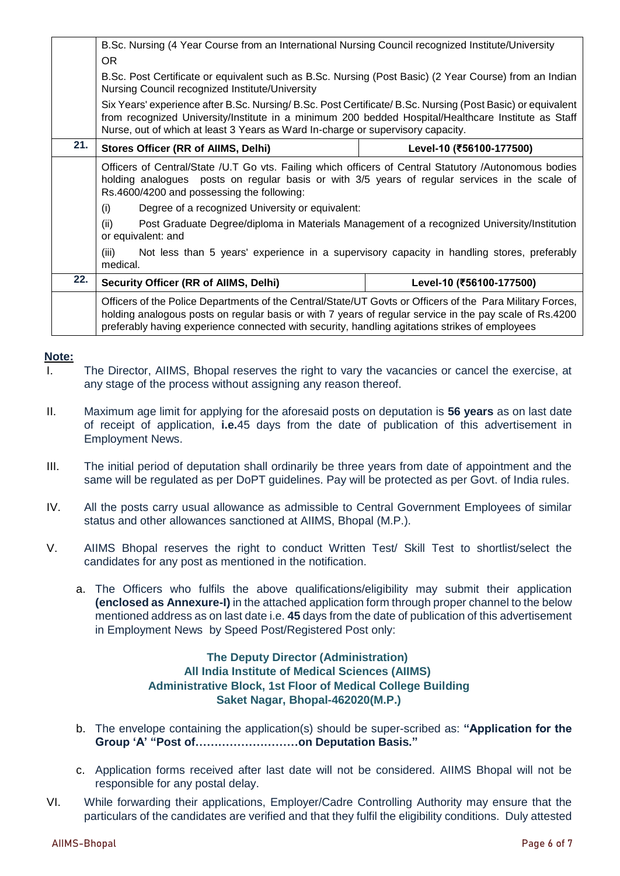|     | B.Sc. Nursing (4 Year Course from an International Nursing Council recognized Institute/University                                                                                                                                                                                                                     |                          |  |
|-----|------------------------------------------------------------------------------------------------------------------------------------------------------------------------------------------------------------------------------------------------------------------------------------------------------------------------|--------------------------|--|
|     | OR.                                                                                                                                                                                                                                                                                                                    |                          |  |
|     | B.Sc. Post Certificate or equivalent such as B.Sc. Nursing (Post Basic) (2 Year Course) from an Indian<br>Nursing Council recognized Institute/University                                                                                                                                                              |                          |  |
|     | Six Years' experience after B.Sc. Nursing/ B.Sc. Post Certificate/ B.Sc. Nursing (Post Basic) or equivalent<br>from recognized University/Institute in a minimum 200 bedded Hospital/Healthcare Institute as Staff<br>Nurse, out of which at least 3 Years as Ward In-charge or supervisory capacity.                  |                          |  |
| 21. | Stores Officer (RR of AllMS, Delhi)                                                                                                                                                                                                                                                                                    | Level-10 (₹56100-177500) |  |
|     | Officers of Central/State /U.T Go vts. Failing which officers of Central Statutory /Autonomous bodies<br>holding analogues posts on regular basis or with 3/5 years of regular services in the scale of<br>Rs.4600/4200 and possessing the following:                                                                  |                          |  |
|     | Degree of a recognized University or equivalent:<br>(i)                                                                                                                                                                                                                                                                |                          |  |
|     | Post Graduate Degree/diploma in Materials Management of a recognized University/Institution<br>(ii)<br>or equivalent: and                                                                                                                                                                                              |                          |  |
|     | Not less than 5 years' experience in a supervisory capacity in handling stores, preferably<br>(iii)<br>medical.                                                                                                                                                                                                        |                          |  |
| 22. | <b>Security Officer (RR of AllMS, Delhi)</b>                                                                                                                                                                                                                                                                           | Level-10 (₹56100-177500) |  |
|     | Officers of the Police Departments of the Central/State/UT Govts or Officers of the Para Military Forces,<br>holding analogous posts on regular basis or with 7 years of regular service in the pay scale of Rs.4200<br>preferably having experience connected with security, handling agitations strikes of employees |                          |  |

#### **Note:**

- I. The Director, AIIMS, Bhopal reserves the right to vary the vacancies or cancel the exercise, at any stage of the process without assigning any reason thereof.
- II. Maximum age limit for applying for the aforesaid posts on deputation is **56 years** as on last date of receipt of application, **i.e.**45 days from the date of publication of this advertisement in Employment News.
- III. The initial period of deputation shall ordinarily be three years from date of appointment and the same will be regulated as per DoPT guidelines. Pay will be protected as per Govt. of India rules.
- IV. All the posts carry usual allowance as admissible to Central Government Employees of similar status and other allowances sanctioned at AIIMS, Bhopal (M.P.).
- V. AIIMS Bhopal reserves the right to conduct Written Test/ Skill Test to shortlist/select the candidates for any post as mentioned in the notification.
	- a. The Officers who fulfils the above qualifications/eligibility may submit their application **(enclosed as Annexure-I)** in the attached application form through proper channel to the below mentioned address as on last date i.e. **45** days from the date of publication of this advertisement in Employment News by Speed Post/Registered Post only:

#### **The Deputy Director (Administration) All India Institute of Medical Sciences (AIIMS) Administrative Block, 1st Floor of Medical College Building Saket Nagar, Bhopal-462020(M.P.)**

- b. The envelope containing the application(s) should be super-scribed as: **"Application for the Group 'A' "Post of………………………on Deputation Basis."**
- c. Application forms received after last date will not be considered. AIIMS Bhopal will not be responsible for any postal delay.
- VI. While forwarding their applications, Employer/Cadre Controlling Authority may ensure that the particulars of the candidates are verified and that they fulfil the eligibility conditions. Duly attested